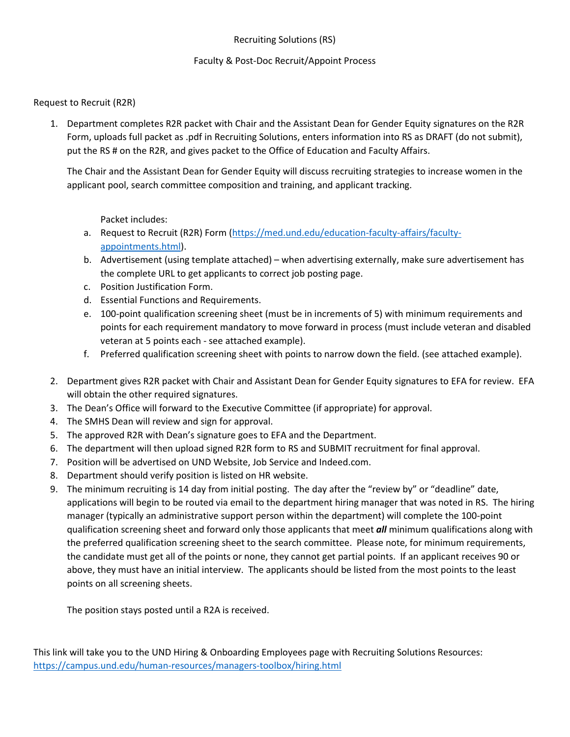#### Recruiting Solutions (RS)

#### Faculty & Post-Doc Recruit/Appoint Process

#### Request to Recruit (R2R)

1. Department completes R2R packet with Chair and the Assistant Dean for Gender Equity signatures on the R2R Form, uploads full packet as .pdf in Recruiting Solutions, enters information into RS as DRAFT (do not submit), put the RS # on the R2R, and gives packet to the Office of Education and Faculty Affairs.

The Chair and the Assistant Dean for Gender Equity will discuss recruiting strategies to increase women in the applicant pool, search committee composition and training, and applicant tracking.

Packet includes:

- a. Request to Recruit (R2R) Form [\(https://med.und.edu/education-faculty-affairs/faculty](https://med.und.edu/education-faculty-affairs/faculty-appointments.html)[appointments.html\)](https://med.und.edu/education-faculty-affairs/faculty-appointments.html).
- b. Advertisement (using template attached) when advertising externally, make sure advertisement has the complete URL to get applicants to correct job posting page.
- c. Position Justification Form.
- d. Essential Functions and Requirements.
- e. 100-point qualification screening sheet (must be in increments of 5) with minimum requirements and points for each requirement mandatory to move forward in process (must include veteran and disabled veteran at 5 points each - see attached example).
- f. Preferred qualification screening sheet with points to narrow down the field. (see attached example).
- 2. Department gives R2R packet with Chair and Assistant Dean for Gender Equity signatures to EFA for review. EFA will obtain the other required signatures.
- 3. The Dean's Office will forward to the Executive Committee (if appropriate) for approval.
- 4. The SMHS Dean will review and sign for approval.
- 5. The approved R2R with Dean's signature goes to EFA and the Department.
- 6. The department will then upload signed R2R form to RS and SUBMIT recruitment for final approval.
- 7. Position will be advertised on UND Website, Job Service and Indeed.com.
- 8. Department should verify position is listed on HR website.
- 9. The minimum recruiting is 14 day from initial posting. The day after the "review by" or "deadline" date, applications will begin to be routed via email to the department hiring manager that was noted in RS. The hiring manager (typically an administrative support person within the department) will complete the 100-point qualification screening sheet and forward only those applicants that meet *all* minimum qualifications along with the preferred qualification screening sheet to the search committee. Please note, for minimum requirements, the candidate must get all of the points or none, they cannot get partial points. If an applicant receives 90 or above, they must have an initial interview. The applicants should be listed from the most points to the least points on all screening sheets.

The position stays posted until a R2A is received.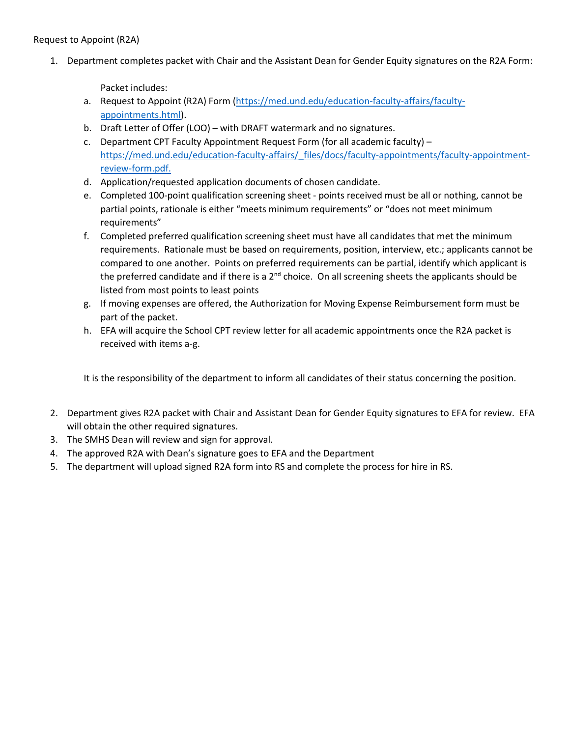1. Department completes packet with Chair and the Assistant Dean for Gender Equity signatures on the R2A Form:

Packet includes:

- a. Request to Appoint (R2A) Form [\(https://med.und.edu/education-faculty-affairs/faculty](https://med.und.edu/education-faculty-affairs/faculty-appointments.html)[appointments.html\)](https://med.und.edu/education-faculty-affairs/faculty-appointments.html).
- b. Draft Letter of Offer (LOO) with DRAFT watermark and no signatures.
- c. Department CPT Faculty Appointment Request Form (for all academic faculty) [https://med.und.edu/education-faculty-affairs/\\_files/docs/faculty-appointments/faculty-appointment](https://med.und.edu/education-faculty-affairs/_files/docs/faculty-appointments/faculty-appointment-review-form.pdf)[review-form.pdf.](https://med.und.edu/education-faculty-affairs/_files/docs/faculty-appointments/faculty-appointment-review-form.pdf)
- d. Application/requested application documents of chosen candidate.
- e. Completed 100-point qualification screening sheet points received must be all or nothing, cannot be partial points, rationale is either "meets minimum requirements" or "does not meet minimum requirements"
- f. Completed preferred qualification screening sheet must have all candidates that met the minimum requirements. Rationale must be based on requirements, position, interview, etc.; applicants cannot be compared to one another. Points on preferred requirements can be partial, identify which applicant is the preferred candidate and if there is a  $2^{nd}$  choice. On all screening sheets the applicants should be listed from most points to least points
- g. If moving expenses are offered, the Authorization for Moving Expense Reimbursement form must be part of the packet.
- h. EFA will acquire the School CPT review letter for all academic appointments once the R2A packet is received with items a-g.

It is the responsibility of the department to inform all candidates of their status concerning the position.

- 2. Department gives R2A packet with Chair and Assistant Dean for Gender Equity signatures to EFA for review. EFA will obtain the other required signatures.
- 3. The SMHS Dean will review and sign for approval.
- 4. The approved R2A with Dean's signature goes to EFA and the Department
- 5. The department will upload signed R2A form into RS and complete the process for hire in RS.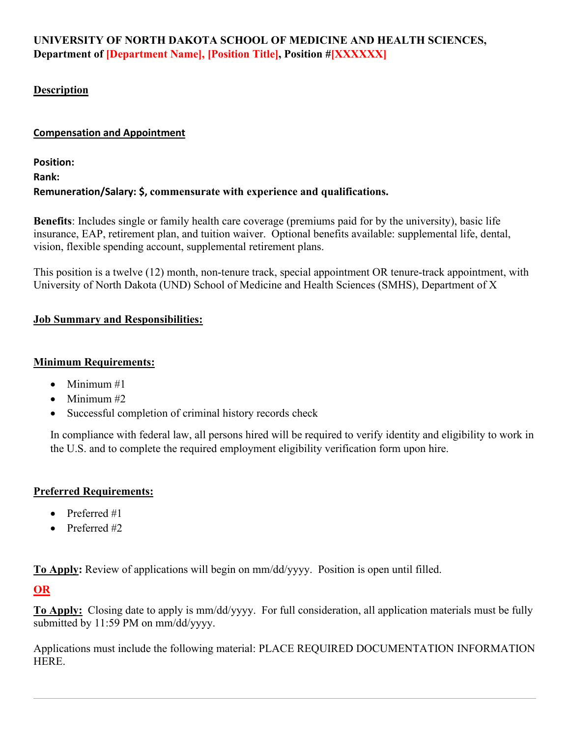# **UNIVERSITY OF NORTH DAKOTA SCHOOL OF MEDICINE AND HEALTH SCIENCES, Department of [Department Name], [Position Title], Position #[XXXXXX]**

# **Description**

# **Compensation and Appointment**

**Position: Rank: Remuneration/Salary: \$, commensurate with experience and qualifications.**

**Benefits**: Includes single or family health care coverage (premiums paid for by the university), basic life insurance, EAP, retirement plan, and tuition waiver. Optional benefits available: supplemental life, dental, vision, flexible spending account, supplemental retirement plans.

This position is a twelve (12) month, non-tenure track, special appointment OR tenure-track appointment, with University of North Dakota (UND) School of Medicine and Health Sciences (SMHS), Department of X

# **Job Summary and Responsibilities:**

#### **Minimum Requirements:**

- Minimum  $#1$
- Minimum #2
- Successful completion of criminal history records check

In compliance with federal law, all persons hired will be required to verify identity and eligibility to work in the U.S. and to complete the required employment eligibility verification form upon hire.

# **Preferred Requirements:**

- Preferred #1
- Preferred #2

**To Apply:** Review of applications will begin on mm/dd/yyyy. Position is open until filled.

# **OR**

**To Apply:** Closing date to apply is mm/dd/yyyy. For full consideration, all application materials must be fully submitted by 11:59 PM on mm/dd/yyyy.

Applications must include the following material: PLACE REQUIRED DOCUMENTATION INFORMATION HERE.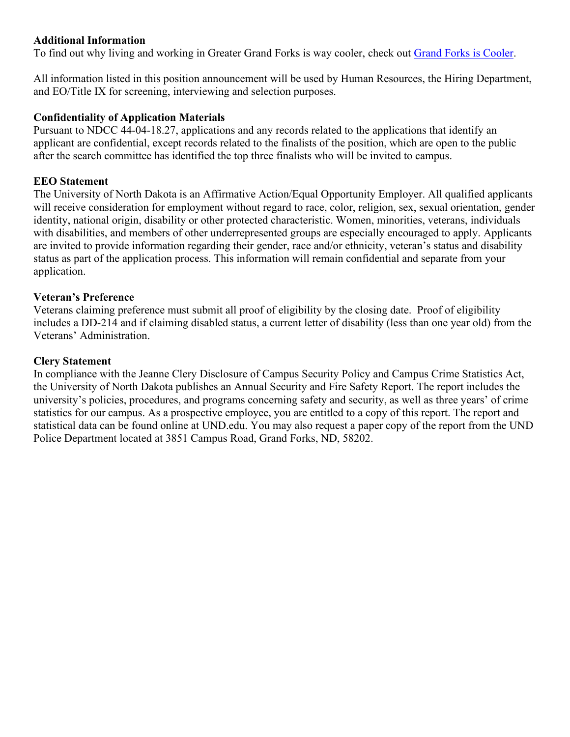# **Additional Information**

To find out why living and working in Greater Grand Forks is way cooler, check out [Grand Forks is Cooler.](http://www.grandforksiscooler.com/)

All information listed in this position announcement will be used by Human Resources, the Hiring Department, and EO/Title IX for screening, interviewing and selection purposes.

## **Confidentiality of Application Materials**

Pursuant to NDCC 44-04-18.27, applications and any records related to the applications that identify an applicant are confidential, except records related to the finalists of the position, which are open to the public after the search committee has identified the top three finalists who will be invited to campus.

# **EEO Statement**

The University of North Dakota is an Affirmative Action/Equal Opportunity Employer. All qualified applicants will receive consideration for employment without regard to race, color, religion, sex, sexual orientation, gender identity, national origin, disability or other protected characteristic. Women, minorities, veterans, individuals with disabilities, and members of other underrepresented groups are especially encouraged to apply. Applicants are invited to provide information regarding their gender, race and/or ethnicity, veteran's status and disability status as part of the application process. This information will remain confidential and separate from your application.

## **Veteran's Preference**

Veterans claiming preference must submit all proof of eligibility by the closing date. Proof of eligibility includes a DD-214 and if claiming disabled status, a current letter of disability (less than one year old) from the Veterans' Administration.

## **Clery Statement**

In compliance with the Jeanne Clery Disclosure of Campus Security Policy and Campus Crime Statistics Act, the University of North Dakota publishes an Annual Security and Fire Safety Report. The report includes the university's policies, procedures, and programs concerning safety and security, as well as three years' of crime statistics for our campus. As a prospective employee, you are entitled to a copy of this report. The report and statistical data can be found online at UND.edu. You may also request a paper copy of the report from the UND Police Department located at 3851 Campus Road, Grand Forks, ND, 58202.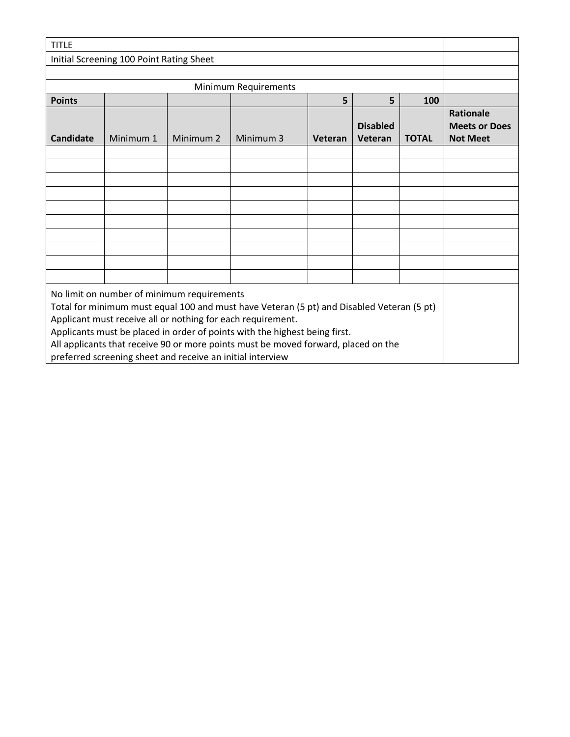| <b>TITLE</b>                                                                                                                            |           |                      |           |         |                 |              |                                          |  |  |  |
|-----------------------------------------------------------------------------------------------------------------------------------------|-----------|----------------------|-----------|---------|-----------------|--------------|------------------------------------------|--|--|--|
| Initial Screening 100 Point Rating Sheet                                                                                                |           |                      |           |         |                 |              |                                          |  |  |  |
|                                                                                                                                         |           |                      |           |         |                 |              |                                          |  |  |  |
|                                                                                                                                         |           |                      |           |         |                 |              |                                          |  |  |  |
| <b>Points</b>                                                                                                                           |           |                      |           | 5       | 5               | 100          |                                          |  |  |  |
|                                                                                                                                         |           |                      |           |         | <b>Disabled</b> |              | <b>Rationale</b><br><b>Meets or Does</b> |  |  |  |
| <b>Candidate</b>                                                                                                                        | Minimum 1 | Minimum <sub>2</sub> | Minimum 3 | Veteran | Veteran         | <b>TOTAL</b> | <b>Not Meet</b>                          |  |  |  |
|                                                                                                                                         |           |                      |           |         |                 |              |                                          |  |  |  |
|                                                                                                                                         |           |                      |           |         |                 |              |                                          |  |  |  |
|                                                                                                                                         |           |                      |           |         |                 |              |                                          |  |  |  |
|                                                                                                                                         |           |                      |           |         |                 |              |                                          |  |  |  |
|                                                                                                                                         |           |                      |           |         |                 |              |                                          |  |  |  |
|                                                                                                                                         |           |                      |           |         |                 |              |                                          |  |  |  |
|                                                                                                                                         |           |                      |           |         |                 |              |                                          |  |  |  |
|                                                                                                                                         |           |                      |           |         |                 |              |                                          |  |  |  |
|                                                                                                                                         |           |                      |           |         |                 |              |                                          |  |  |  |
|                                                                                                                                         |           |                      |           |         |                 |              |                                          |  |  |  |
| No limit on number of minimum requirements<br>Total for minimum must equal 100 and must have Veteran (5 pt) and Disabled Veteran (5 pt) |           |                      |           |         |                 |              |                                          |  |  |  |
| Applicant must receive all or nothing for each requirement.                                                                             |           |                      |           |         |                 |              |                                          |  |  |  |
| Applicants must be placed in order of points with the highest being first.                                                              |           |                      |           |         |                 |              |                                          |  |  |  |
| All applicants that receive 90 or more points must be moved forward, placed on the                                                      |           |                      |           |         |                 |              |                                          |  |  |  |
| preferred screening sheet and receive an initial interview                                                                              |           |                      |           |         |                 |              |                                          |  |  |  |